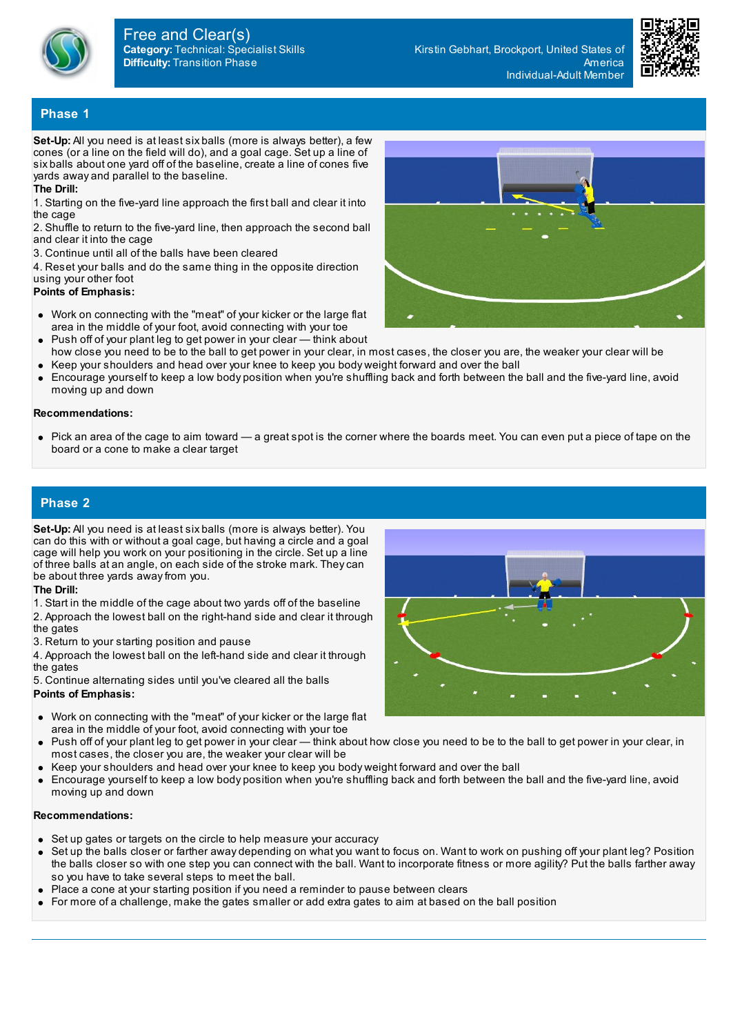

**Category:** Technical: Specialist Skills **Difficulty:** Transition Phase Free and Clear(s)

Kirstin Gebhart, Brockport, United States of America Individual-Adult Member



## **Phase 1**

**Set-Up:** All you need is at least six balls (more is always better), a few cones (or a line on the field will do), and a goal cage. Set up a line of six balls about one yard off of the baseline, create a line of cones five yards away and parallel to the baseline.

#### **The Drill:**

1. Starting on the five-yard line approach the first ball and clear it into the cage

2. Shuffle to return to the five-yard line, then approach the second ball and clear it into the cage

3. Continue until all of the balls have been cleared

4. Reset your balls and do the same thing in the opposite direction using your other foot

### **Points of Emphasis:**

- Work on connecting with the "meat" of your kicker or the large flat area in the middle of your foot, avoid connecting with your toe
- Push off of your plant leg to get power in your clear think about  $\bullet$ how close you need to be to the ball to get power in your clear, in most cases, the closer you are, the weaker your clear will be
- Keep your shoulders and head over your knee to keep you body weight forward and over the ball
- Encourage yourself to keep a low body position when you're shuffling back and forth between the ball and the five-yard line, avoid  $\bullet$ moving up and down

#### **Recommendations:**

• Pick an area of the cage to aim toward — a great spot is the corner where the boards meet. You can even put a piece of tape on the board or a cone to make a clear target

### **Phase 2**

**Set-Up:** All you need is at least six balls (more is always better). You can do this with or without a goal cage, but having a circle and a goal cage will help you work on your positioning in the circle. Set up a line of three balls at an angle, on each side of the stroke mark. Theycan be about three yards awayfrom you.

#### **The Drill:**

1. Start in the middle of the cage about two yards off of the baseline

2. Approach the lowest ball on the right-hand side and clear it through the gates

3. Return to your starting position and pause

4. Approach the lowest ball on the left-hand side and clear it through the gates

5. Continue alternating sides until you've cleared all the balls **Points of Emphasis:**

- Work on connecting with the "meat" of your kicker or the large flat area in the middle of your foot, avoid connecting with your toe
- Push off of your plant leg to get power in your clear think about how close you need to be to the ball to get power in your clear, in most cases, the closer you are, the weaker your clear will be
- Keep your shoulders and head over your knee to keep you body weight forward and over the ball
- Encourage yourself to keep a low body position when you're shuffling back and forth between the ball and the five-yard line, avoid moving up and down

#### **Recommendations:**

- Set up gates or targets on the circle to help measure your accuracy
- Set up the balls closer or farther away depending on what you want to focus on. Want to work on pushing off your plant leg? Position the balls closer so with one step you can connect with the ball. Want to incorporate fitness or more agility? Put the balls farther away so you have to take several steps to meet the ball.
- Place a cone at your starting position if you need a reminder to pause between clears
- $\bullet$ For more of a challenge, make the gates smaller or add extra gates to aim at based on the ball position